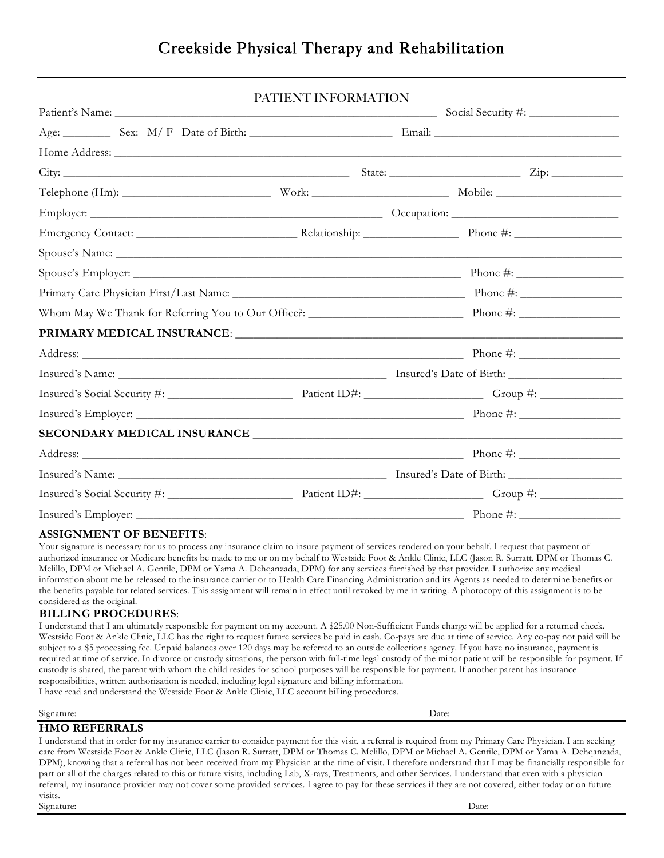# Creekside Physical Therapy and Rehabilitation

### PATIENT INFORMATION

#### **ASSIGNMENT OF BENEFITS**:

Your signature is necessary for us to process any insurance claim to insure payment of services rendered on your behalf. I request that payment of authorized insurance or Medicare benefits be made to me or on my behalf to Westside Foot & Ankle Clinic, LLC (Jason R. Surratt, DPM or Thomas C. Melillo, DPM or Michael A. Gentile, DPM or Yama A. Dehqanzada, DPM) for any services furnished by that provider. I authorize any medical information about me be released to the insurance carrier or to Health Care Financing Administration and its Agents as needed to determine benefits or the benefits payable for related services. This assignment will remain in effect until revoked by me in writing. A photocopy of this assignment is to be considered as the original.

### **BILLING PROCEDURES**:

I understand that I am ultimately responsible for payment on my account. A \$25.00 Non-Sufficient Funds charge will be applied for a returned check. Westside Foot & Ankle Clinic, LLC has the right to request future services be paid in cash. Co-pays are due at time of service. Any co-pay not paid will be subject to a \$5 processing fee. Unpaid balances over 120 days may be referred to an outside collections agency. If you have no insurance, payment is required at time of service. In divorce or custody situations, the person with full-time legal custody of the minor patient will be responsible for payment. If custody is shared, the parent with whom the child resides for school purposes will be responsible for payment. If another parent has insurance responsibilities, written authorization is needed, including legal signature and billing information. I have read and understand the Westside Foot & Ankle Clinic, LLC account billing procedures.

Signature: Date: Date:

#### **HMO REFERRALS**

I understand that in order for my insurance carrier to consider payment for this visit, a referral is required from my Primary Care Physician. I am seeking care from Westside Foot & Ankle Clinic, LLC (Jason R. Surratt, DPM or Thomas C. Melillo, DPM or Michael A. Gentile, DPM or Yama A. Dehqanzada, DPM), knowing that a referral has not been received from my Physician at the time of visit. I therefore understand that I may be financially responsible for part or all of the charges related to this or future visits, including Lab, X-rays, Treatments, and other Services. I understand that even with a physician referral, my insurance provider may not cover some provided services. I agree to pay for these services if they are not covered, either today or on future visits. Signature: Date: Date: Date: Date: Date: Date: Date: Date: Date: Date: Date: Date: Date: Date: Date: Date: Date: Date: Date: Date: Date: Date: Date: Date: Date: Date: Date: Date: Date: Date: Date: Date: Date: Date: Date: D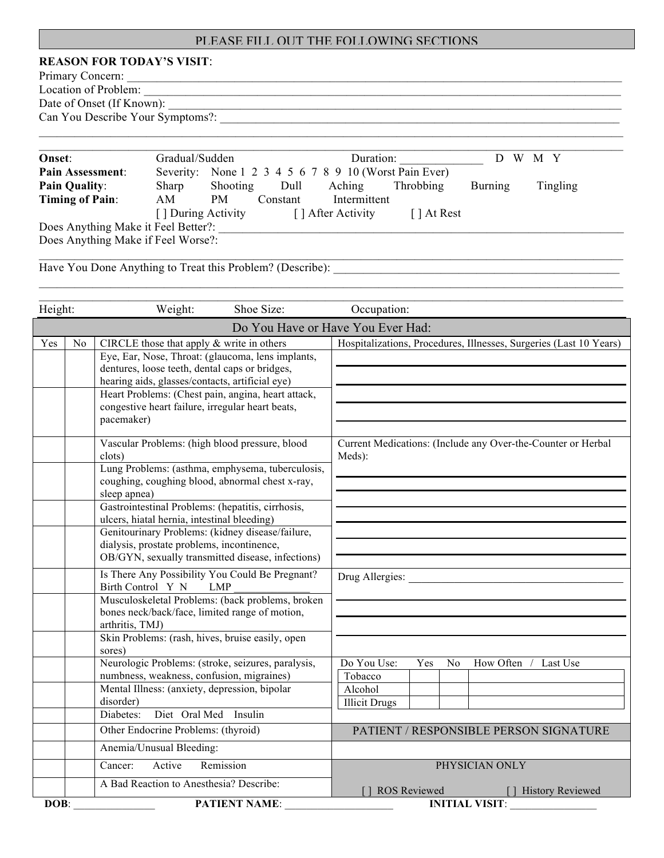#### PLEASE FILL OUT THE FOLLOWING SECTIONS

## **REASON FOR TODAY'S VISIT**:

Primary Concern: \_\_\_\_\_\_\_\_\_\_\_\_\_\_\_\_\_\_\_\_\_\_\_\_\_\_\_\_\_\_\_\_\_\_\_\_\_\_\_\_\_\_\_\_\_\_\_\_\_\_\_\_\_\_\_\_\_\_\_\_\_\_\_\_\_\_\_\_\_\_\_\_\_\_\_\_\_\_\_\_\_\_\_

Location of Problem: \_\_\_\_\_\_\_\_\_\_\_\_\_\_\_\_\_\_\_\_\_\_\_\_\_\_\_\_\_\_\_\_\_\_\_\_\_\_\_\_\_\_\_\_\_\_\_\_\_\_\_\_\_\_\_\_\_\_\_\_\_\_\_\_\_\_\_\_\_\_\_\_\_\_\_\_\_\_\_\_

Can You Describe Your Symptoms?:  $\mathcal{L}_\mathcal{L} = \mathcal{L}_\mathcal{L} = \mathcal{L}_\mathcal{L} = \mathcal{L}_\mathcal{L} = \mathcal{L}_\mathcal{L} = \mathcal{L}_\mathcal{L} = \mathcal{L}_\mathcal{L} = \mathcal{L}_\mathcal{L} = \mathcal{L}_\mathcal{L} = \mathcal{L}_\mathcal{L} = \mathcal{L}_\mathcal{L} = \mathcal{L}_\mathcal{L} = \mathcal{L}_\mathcal{L} = \mathcal{L}_\mathcal{L} = \mathcal{L}_\mathcal{L} = \mathcal{L}_\mathcal{L} = \mathcal{L}_\mathcal{L}$ 

| Onset:                              | Gradual/Sudden      |          |          | Duration:                                             |             | D W M Y |          |
|-------------------------------------|---------------------|----------|----------|-------------------------------------------------------|-------------|---------|----------|
| Pain Assessment:                    |                     |          |          | Severity: None 1 2 3 4 5 6 7 8 9 10 (Worst Pain Ever) |             |         |          |
| <b>Pain Quality:</b>                | Sharp               | Shooting | Dull     | Aching                                                | Throbbing   | Burning | Tingling |
| <b>Timing of Pain:</b>              | AM                  | PM       | Constant | Intermittent                                          |             |         |          |
|                                     | [ ] During Activity |          |          | [ ] After Activity                                    | [ ] At Rest |         |          |
| Does Anything Make it Feel Better?: |                     |          |          |                                                       |             |         |          |
| Does Anything Make if Feel Worse?:  |                     |          |          |                                                       |             |         |          |

 $\mathcal{L}_\mathcal{L} = \mathcal{L}_\mathcal{L} = \mathcal{L}_\mathcal{L} = \mathcal{L}_\mathcal{L} = \mathcal{L}_\mathcal{L} = \mathcal{L}_\mathcal{L} = \mathcal{L}_\mathcal{L} = \mathcal{L}_\mathcal{L} = \mathcal{L}_\mathcal{L} = \mathcal{L}_\mathcal{L} = \mathcal{L}_\mathcal{L} = \mathcal{L}_\mathcal{L} = \mathcal{L}_\mathcal{L} = \mathcal{L}_\mathcal{L} = \mathcal{L}_\mathcal{L} = \mathcal{L}_\mathcal{L} = \mathcal{L}_\mathcal{L}$ 

 $\mathcal{L}_\text{max} = \mathcal{L}_\text{max} = \mathcal{L}_\text{max} = \mathcal{L}_\text{max} = \mathcal{L}_\text{max} = \mathcal{L}_\text{max} = \mathcal{L}_\text{max} = \mathcal{L}_\text{max} = \mathcal{L}_\text{max} = \mathcal{L}_\text{max} = \mathcal{L}_\text{max} = \mathcal{L}_\text{max} = \mathcal{L}_\text{max} = \mathcal{L}_\text{max} = \mathcal{L}_\text{max} = \mathcal{L}_\text{max} = \mathcal{L}_\text{max} = \mathcal{L}_\text{max} = \mathcal{$ 

Have You Done Anything to Treat this Problem? (Describe):

| Height: |                                   | Shoe Size:<br>Weight:                                                                             | Occupation:                                                                |  |  |
|---------|-----------------------------------|---------------------------------------------------------------------------------------------------|----------------------------------------------------------------------------|--|--|
|         | Do You Have or Have You Ever Had: |                                                                                                   |                                                                            |  |  |
| Yes     | N <sub>0</sub>                    | CIRCLE those that apply $&$ write in others                                                       | Hospitalizations, Procedures, Illnesses, Surgeries (Last 10 Years)         |  |  |
|         |                                   | Eye, Ear, Nose, Throat: (glaucoma, lens implants,                                                 |                                                                            |  |  |
|         |                                   | dentures, loose teeth, dental caps or bridges,<br>hearing aids, glasses/contacts, artificial eye) |                                                                            |  |  |
|         |                                   | Heart Problems: (Chest pain, angina, heart attack,                                                |                                                                            |  |  |
|         |                                   | congestive heart failure, irregular heart beats,                                                  |                                                                            |  |  |
|         |                                   | pacemaker)                                                                                        |                                                                            |  |  |
|         |                                   | Vascular Problems: (high blood pressure, blood                                                    | Current Medications: (Include any Over-the-Counter or Herbal               |  |  |
|         |                                   | clots)<br>Lung Problems: (asthma, emphysema, tuberculosis,                                        | Meds):                                                                     |  |  |
|         |                                   | coughing, coughing blood, abnormal chest x-ray,                                                   |                                                                            |  |  |
|         |                                   | sleep apnea)                                                                                      |                                                                            |  |  |
|         |                                   | Gastrointestinal Problems: (hepatitis, cirrhosis,<br>ulcers, hiatal hernia, intestinal bleeding)  |                                                                            |  |  |
|         |                                   | Genitourinary Problems: (kidney disease/failure,                                                  |                                                                            |  |  |
|         |                                   | dialysis, prostate problems, incontinence,                                                        |                                                                            |  |  |
|         |                                   | OB/GYN, sexually transmitted disease, infections)                                                 |                                                                            |  |  |
|         |                                   | Is There Any Possibility You Could Be Pregnant?<br>Birth Control Y N<br><b>LMP</b>                | Drug Allergies:                                                            |  |  |
|         |                                   | Musculoskeletal Problems: (back problems, broken                                                  |                                                                            |  |  |
|         |                                   | bones neck/back/face, limited range of motion,<br>arthritis, TMJ)                                 |                                                                            |  |  |
|         |                                   | Skin Problems: (rash, hives, bruise easily, open                                                  |                                                                            |  |  |
|         |                                   | sores)                                                                                            |                                                                            |  |  |
|         |                                   | Neurologic Problems: (stroke, seizures, paralysis,<br>numbness, weakness, confusion, migraines)   | Do You Use:<br>How Often /<br>Last Use<br>Yes<br>N <sub>0</sub><br>Tobacco |  |  |
|         |                                   | Mental Illness: (anxiety, depression, bipolar                                                     | Alcohol                                                                    |  |  |
|         |                                   | disorder)                                                                                         | <b>Illicit Drugs</b>                                                       |  |  |
|         |                                   | Diet Oral Med Insulin<br>Diabetes:                                                                |                                                                            |  |  |
|         |                                   | Other Endocrine Problems: (thyroid)                                                               | PATIENT / RESPONSIBLE PERSON SIGNATURE                                     |  |  |
|         |                                   | Anemia/Unusual Bleeding:                                                                          |                                                                            |  |  |
|         |                                   | Cancer:<br>Active<br>Remission                                                                    | PHYSICIAN ONLY                                                             |  |  |
|         |                                   | A Bad Reaction to Anesthesia? Describe:                                                           | <b>ROS Reviewed</b><br>1 History Reviewed                                  |  |  |
| DOB:    |                                   | <b>PATIENT NAME:</b>                                                                              | <b>INITIAL VISIT:</b>                                                      |  |  |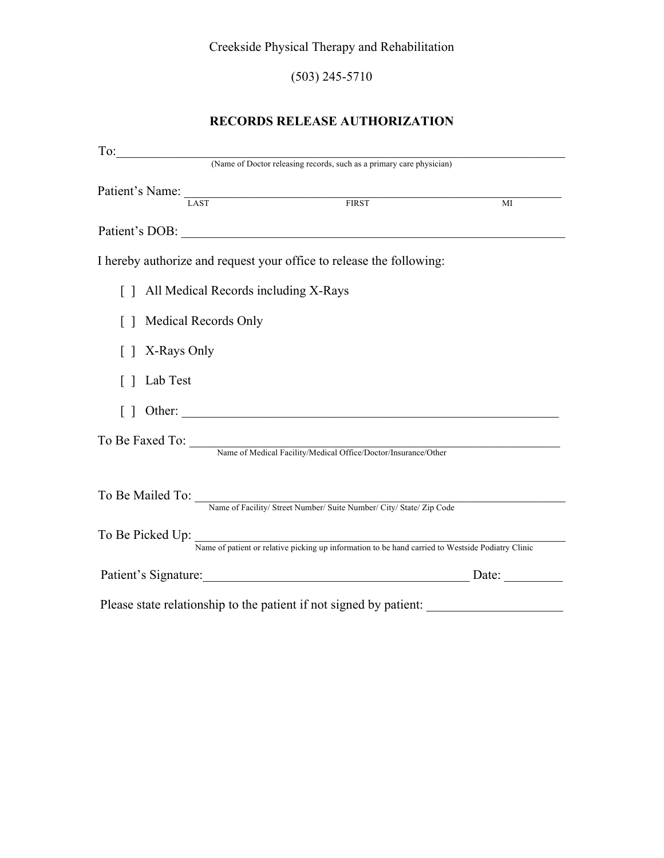(503) 245-5710

## **RECORDS RELEASE AUTHORIZATION**

| Patient's Name: LAST FIRST                                                                                         | $\overline{MI}$                                        |
|--------------------------------------------------------------------------------------------------------------------|--------------------------------------------------------|
| Patient's DOB:                                                                                                     |                                                        |
| I hereby authorize and request your office to release the following:                                               |                                                        |
| [ ] All Medical Records including X-Rays                                                                           |                                                        |
| Medical Records Only<br>$\Box$                                                                                     |                                                        |
| X-Rays Only<br>$\Box$                                                                                              |                                                        |
| Lab Test<br>$\Box$                                                                                                 |                                                        |
|                                                                                                                    |                                                        |
| To Be Faxed To: Name of Medical Facility/Medical Office/Doctor/Insurance/Other                                     |                                                        |
|                                                                                                                    |                                                        |
| To Be Mailed To: Name of Facility/ Street Number/ Suite Number/ City/ State/ Zip Code                              |                                                        |
|                                                                                                                    |                                                        |
| To Be Picked Up: Name of patient or relative picking up information to be hand carried to Westside Podiatry Clinic |                                                        |
| Patient's Signature:                                                                                               | Date: $\frac{1}{\sqrt{1-\frac{1}{2}}\cdot\frac{1}{2}}$ |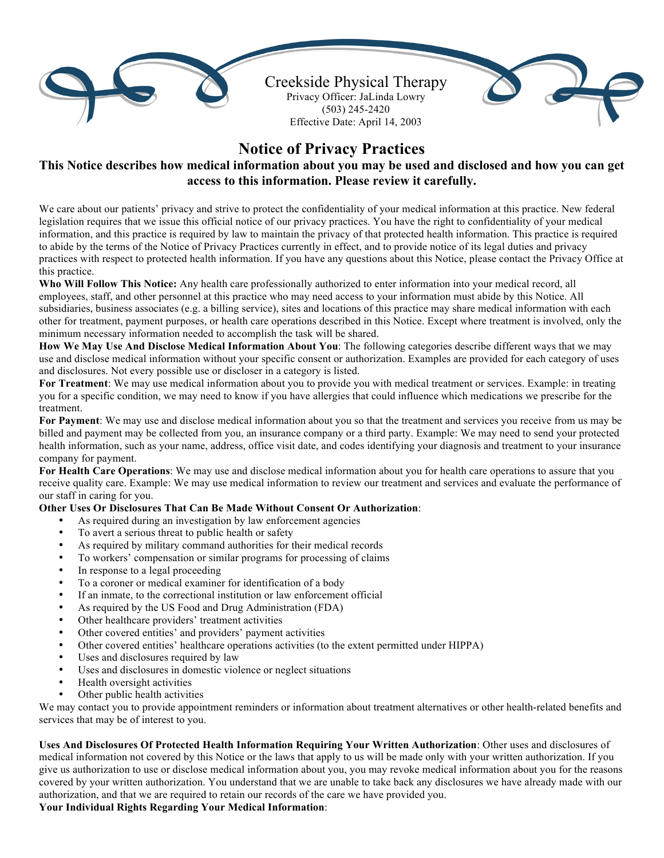

# **Notice of Privacy Practices**

## **This Notice describes how medical information about you may be used and disclosed and how you can get access to this information. Please review it carefully.**

We care about our patients' privacy and strive to protect the confidentiality of your medical information at this practice. New federal legislation requires that we issue this official notice of our privacy practices. You have the right to confidentiality of your medical information, and this practice is required by law to maintain the privacy of that protected health information. This practice is required to abide by the terms of the Notice of Privacy Practices currently in effect, and to provide notice of its legal duties and privacy practices with respect to protected health information. If you have any questions about this Notice, please contact the Privacy Office at this practice.

**Who Will Follow This Notice:** Any health care professionally authorized to enter information into your medical record, all employees, staff, and other personnel at this practice who may need access to your information must abide by this Notice. All subsidiaries, business associates (e.g. a billing service), sites and locations of this practice may share medical information with each other for treatment, payment purposes, or health care operations described in this Notice. Except where treatment is involved, only the minimum necessary information needed to accomplish the task will be shared.

**How We May Use And Disclose Medical Information About You**: The following categories describe different ways that we may use and disclose medical information without your specific consent or authorization. Examples are provided for each category of uses and disclosures. Not every possible use or discloser in a category is listed.

**For Treatment**: We may use medical information about you to provide you with medical treatment or services. Example: in treating you for a specific condition, we may need to know if you have allergies that could influence which medications we prescribe for the treatment.

**For Payment**: We may use and disclose medical information about you so that the treatment and services you receive from us may be billed and payment may be collected from you, an insurance company or a third party. Example: We may need to send your protected health information, such as your name, address, office visit date, and codes identifying your diagnosis and treatment to your insurance company for payment.

**For Health Care Operations**: We may use and disclose medical information about you for health care operations to assure that you receive quality care. Example: We may use medical information to review our treatment and services and evaluate the performance of our staff in caring for you.

### **Other Uses Or Disclosures That Can Be Made Without Consent Or Authorization**:

- As required during an investigation by law enforcement agencies
- To avert a serious threat to public health or safety
- As required by military command authorities for their medical records
- To workers' compensation or similar programs for processing of claims
- In response to a legal proceeding
- To a coroner or medical examiner for identification of a body
- If an inmate, to the correctional institution or law enforcement official
- As required by the US Food and Drug Administration (FDA)
- Other healthcare providers' treatment activities
- Other covered entities' and providers' payment activities
- Other covered entities' healthcare operations activities (to the extent permitted under HIPPA)
- Uses and disclosures required by law
- Uses and disclosures in domestic violence or neglect situations
- Health oversight activities
- Other public health activities

We may contact you to provide appointment reminders or information about treatment alternatives or other health-related benefits and services that may be of interest to you.

**Uses And Disclosures Of Protected Health Information Requiring Your Written Authorization**: Other uses and disclosures of medical information not covered by this Notice or the laws that apply to us will be made only with your written authorization. If you give us authorization to use or disclose medical information about you, you may revoke medical information about you for the reasons covered by your written authorization. You understand that we are unable to take back any disclosures we have already made with our authorization, and that we are required to retain our records of the care we have provided you.

**Your Individual Rights Regarding Your Medical Information**: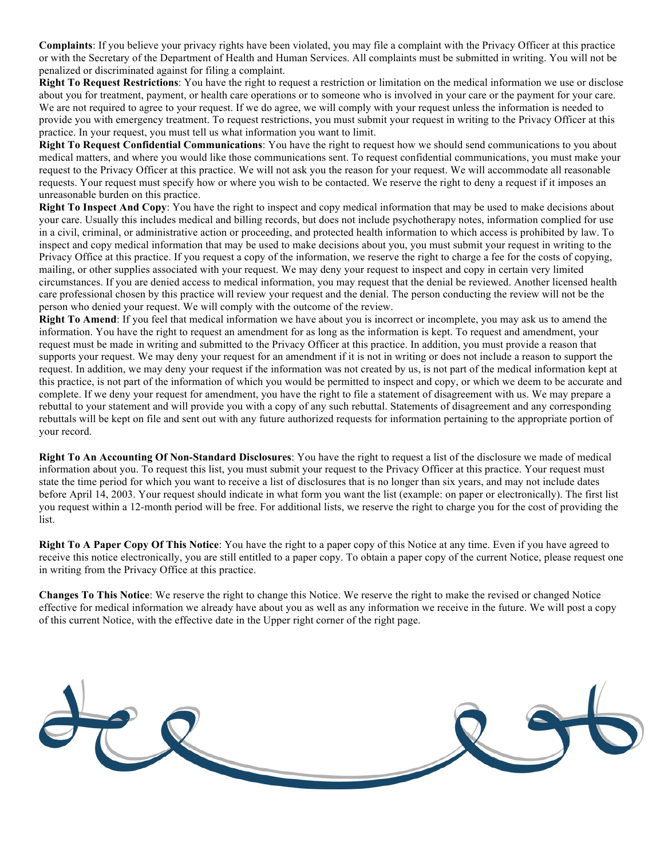**Complaints**: If you believe your privacy rights have been violated, you may file a complaint with the Privacy Officer at this practice or with the Secretary of the Department of Health and Human Services. All complaints must be submitted in writing. You will not be penalized or discriminated against for filing a complaint.

**Right To Request Restrictions**: You have the right to request a restriction or limitation on the medical information we use or disclose about you for treatment, payment, or health care operations or to someone who is involved in your care or the payment for your care. We are not required to agree to your request. If we do agree, we will comply with your request unless the information is needed to provide you with emergency treatment. To request restrictions, you must submit your request in writing to the Privacy Officer at this practice. In your request, you must tell us what information you want to limit.

**Right To Request Confidential Communications**: You have the right to request how we should send communications to you about medical matters, and where you would like those communications sent. To request confidential communications, you must make your request to the Privacy Officer at this practice. We will not ask you the reason for your request. We will accommodate all reasonable requests. Your request must specify how or where you wish to be contacted. We reserve the right to deny a request if it imposes an unreasonable burden on this practice.

**Right To Inspect And Copy**: You have the right to inspect and copy medical information that may be used to make decisions about your care. Usually this includes medical and billing records, but does not include psychotherapy notes, information complied for use in a civil, criminal, or administrative action or proceeding, and protected health information to which access is prohibited by law. To inspect and copy medical information that may be used to make decisions about you, you must submit your request in writing to the Privacy Office at this practice. If you request a copy of the information, we reserve the right to charge a fee for the costs of copying, mailing, or other supplies associated with your request. We may deny your request to inspect and copy in certain very limited circumstances. If you are denied access to medical information, you may request that the denial be reviewed. Another licensed health care professional chosen by this practice will review your request and the denial. The person conducting the review will not be the person who denied your request. We will comply with the outcome of the review.

**Right To Amend**: If you feel that medical information we have about you is incorrect or incomplete, you may ask us to amend the information. You have the right to request an amendment for as long as the information is kept. To request and amendment, your request must be made in writing and submitted to the Privacy Officer at this practice. In addition, you must provide a reason that supports your request. We may deny your request for an amendment if it is not in writing or does not include a reason to support the request. In addition, we may deny your request if the information was not created by us, is not part of the medical information kept at this practice, is not part of the information of which you would be permitted to inspect and copy, or which we deem to be accurate and complete. If we deny your request for amendment, you have the right to file a statement of disagreement with us. We may prepare a rebuttal to your statement and will provide you with a copy of any such rebuttal. Statements of disagreement and any corresponding rebuttals will be kept on file and sent out with any future authorized requests for information pertaining to the appropriate portion of your record.

**Right To An Accounting Of Non-Standard Disclosures**: You have the right to request a list of the disclosure we made of medical information about you. To request this list, you must submit your request to the Privacy Officer at this practice. Your request must state the time period for which you want to receive a list of disclosures that is no longer than six years, and may not include dates before April 14, 2003. Your request should indicate in what form you want the list (example: on paper or electronically). The first list you request within a 12-month period will be free. For additional lists, we reserve the right to charge you for the cost of providing the list.

**Right To A Paper Copy Of This Notice**: You have the right to a paper copy of this Notice at any time. Even if you have agreed to receive this notice electronically, you are still entitled to a paper copy. To obtain a paper copy of the current Notice, please request one in writing from the Privacy Office at this practice.

**Changes To This Notice**: We reserve the right to change this Notice. We reserve the right to make the revised or changed Notice effective for medical information we already have about you as well as any information we receive in the future. We will post a copy of this current Notice, with the effective date in the Upper right corner of the right page.